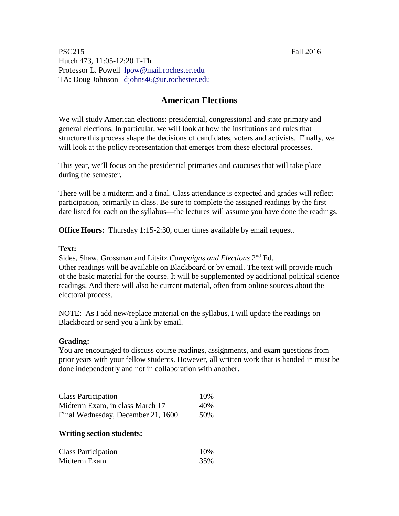PSC215 Fall 2016 Hutch 473, 11:05-12:20 T-Th Professor L. Powell [lpow@mail.rochester.edu](mailto:lpow@mail.rochester.edu) TA: Doug Johnson [djohns46@ur.rochester.edu](mailto:djohns46@ur.rochester.edu)

## **American Elections**

We will study American elections: presidential, congressional and state primary and general elections. In particular, we will look at how the institutions and rules that structure this process shape the decisions of candidates, voters and activists. Finally, we will look at the policy representation that emerges from these electoral processes.

This year, we'll focus on the presidential primaries and caucuses that will take place during the semester.

There will be a midterm and a final. Class attendance is expected and grades will reflect participation, primarily in class. Be sure to complete the assigned readings by the first date listed for each on the syllabus—the lectures will assume you have done the readings.

**Office Hours:** Thursday 1:15-2:30, other times available by email request.

#### **Text:**

Sides, Shaw, Grossman and Litsitz *Campaigns and Elections* 2nd Ed. Other readings will be available on Blackboard or by email. The text will provide much of the basic material for the course. It will be supplemented by additional political science readings. And there will also be current material, often from online sources about the electoral process.

NOTE: As I add new/replace material on the syllabus, I will update the readings on Blackboard or send you a link by email.

### **Grading:**

You are encouraged to discuss course readings, assignments, and exam questions from prior years with your fellow students. However, all written work that is handed in must be done independently and not in collaboration with another.

| <b>Class Participation</b>         | 10% |
|------------------------------------|-----|
| Midterm Exam, in class March 17    | 40% |
| Final Wednesday, December 21, 1600 | 50% |

#### **Writing section students:**

| <b>Class Participation</b> | 10% |
|----------------------------|-----|
| Midterm Exam               | 35% |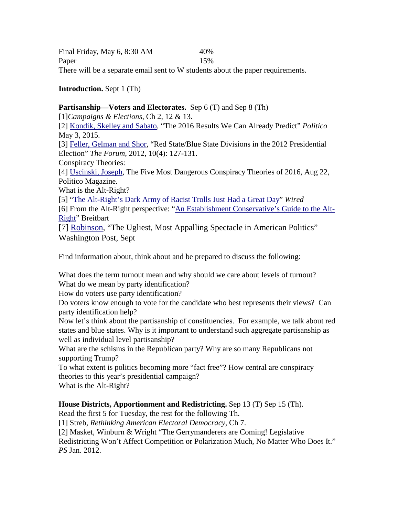Final Friday, May 6, 8:30 AM 40% Paper 15% There will be a separate email sent to W students about the paper requirements.

**Introduction.** Sept 1 (Th)

**Partisanship—Voters and Electorates.** Sep 6 (T) and Sep 8 (Th) [1]*Campaigns & Elections*, Ch 2, 12 & 13. [2] [Kondik, Skelley and Sabato,](http://www.politico.com/magazine/story/2015/05/2016-predictions-117554) "The 2016 Results We Can Already Predict" *Politico* May 3, 2015. [3] [Feller, Gelman and Shor,](https://learn.rochester.edu/bbcswebdav/courses/PSC215.2016FALL.80118/psc215powellfall16_readings/feller-gelman-shor-2013.pdf) "Red State/Blue State Divisions in the 2012 Presidential Election" *The Forum,* 2012, 10(4): 127-131. Conspiracy Theories: [4] [Uscinski, Joseph,](http://www.politico.com/magazine/story/2016/08/conspiracy-theories-2016-donald-trump-hillary-clinton-214183) The Five Most Dangerous Conspiracy Theories of 2016, Aug 22, Politico Magazine. What is the Alt-Right? [5] ["The Alt-Right's Dark Army of Racist Trolls Just Had a Great Day"](http://www.wired.com/2016/08/alt-rights-dark-army-racist-trolls-just-great-day/) *Wired*  [6] From the Alt-Right perspective: ["An Establishment Conservative's Guide to the Alt-](http://www.breitbart.com/tech/2016/03/29/an-establishment-conservatives-guide-to-the-alt-right/)[Right"](http://www.breitbart.com/tech/2016/03/29/an-establishment-conservatives-guide-to-the-alt-right/) Breitbart [7] [Robinson,](https://www.washingtonpost.com/opinions/the-ugliest-most-appalling-spectacle-in-american-politics/2016/09/05/95179af4-714c-11e6-8365-b19e428a975e_story.html?utm_term=.fb028ecb2d33) "The Ugliest, Most Appalling Spectacle in American Politics" Washington Post, Sept

Find information about, think about and be prepared to discuss the following:

What does the term turnout mean and why should we care about levels of turnout? What do we mean by party identification?

How do voters use party identification?

Do voters know enough to vote for the candidate who best represents their views? Can party identification help?

Now let's think about the partisanship of constituencies. For example, we talk about red states and blue states. Why is it important to understand such aggregate partisanship as well as individual level partisanship?

What are the schisms in the Republican party? Why are so many Republicans not supporting Trump?

To what extent is politics becoming more "fact free"? How central are conspiracy theories to this year's presidential campaign?

What is the Alt-Right?

**House Districts, Apportionment and Redistricting.** Sep 13 (T) Sep 15 (Th).

Read the first 5 for Tuesday, the rest for the following Th.

[1] Streb, *Rethinking American Electoral Democracy*, Ch 7.

[2] Masket, Winburn & Wright "The Gerrymanderers are Coming! Legislative

Redistricting Won't Affect Competition or Polarization Much, No Matter Who Does It." *PS* Jan. 2012.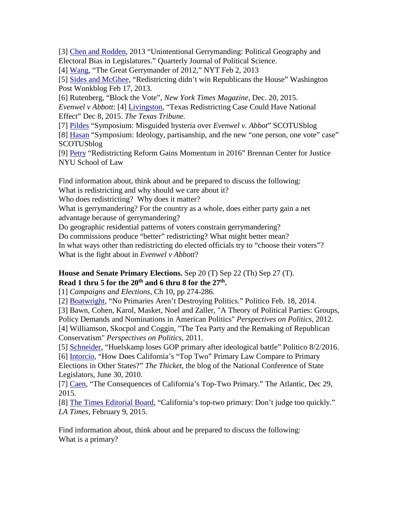[3] [Chen and Rodden,](http://citeseerx.ist.psu.edu/viewdoc/download?doi=10.1.1.397.5148&rep=rep1&type=pdf) 2013 "Unintentional Gerrymanding: Political Geography and Electoral Bias in Legislatures." Quarterly Journal of Political Science.

[4] [Wang,](http://www.nytimes.com/2013/02/03/opinion/sunday/the-great-gerrymander-of-2012.html?pagewanted=all&_r=0) "The Great Gerrymander of 2012," NYT Feb 2, 2013

[5] [Sides and McGhee,](https://www.washingtonpost.com/news/wonk/wp/2013/02/17/redistricting-didnt-win-republicans-the-house/) "Redistricting didn't win Republicans the House" Washington Post Wonkblog Feb 17, 2013.

[6] Rutenberg, "Block the Vote", *New York Times Magazine*, Dec. 20, 2015. *Evenwel v Abbott*: [4] [Livingston,](https://www.texastribune.org/2015/12/08/lawyers-argue-texas-redistricting-case-/) "Texas Redistricting Case Could Have National Effect" Dec 8, 2015. *The Texas Tribune.* 

[7] [Pildes](http://www.scotusblog.com/2015/07/symposium-misguided-hysteria-over-evenwel-v-abbott/) "Symposium: Misguided hysteria over *Evenwel v. Abbot*" SCOTUSblog

[8] [Hasan](http://www.scotusblog.com/2015/07/symposium-ideology-partisanship-and-the-new-one-person-one-vote-case/) "Symposium: Ideology, partisanship, and the new "one person, one vote" case" **SCOTUSblog** 

[9] [Petry](https://www.brennancenter.org/blog/redistricting-reform-gains-momentum-2016) "Redistricting Reform Gains Momentum in 2016" Brennan Center for Justice NYU School of Law

Find information about, think about and be prepared to discuss the following: What is redistricting and why should we care about it?

Who does redistricting? Why does it matter?

What is gerrymandering? For the country as a whole, does either party gain a net advantage because of gerrymandering?

Do geographic residential patterns of voters constrain gerrymandering?

Do commissions produce "better" redistricting? What might better mean?

In what ways other than redistricting do elected officials try to "choose their voters"? What is the fight about in *Evenwel v Abbott*?

### **House and Senate Primary Elections.** Sep 20 (T) Sep 22 (Th) Sep 27 (T). **Read 1 thru 5 for the 20th and 6 thru 8 for the 27th.**

[1] *Campaigns and Elections*, Ch 10, pp 274-286.

[2] Boatwright, "No Primaries Aren't Destroying Politics." Politico Feb. 18, 2014.

[3] Bawn, Cohen, Karol, Masket, Noel and Zaller, "A Theory of Political Parties: Groups, Policy Demands and Nominations in American Politics" *Perspectives on Politics*, 2012.

[4] Williamson, Skocpol and Coggin, "The Tea Party and the Remaking of Republican Conservatism" *Perspectives on Politics*, 2011.

[5] [Schneider,](http://www.politico.com/story/2016/08/huelskamp-defeated-in-kansas-primary-226603) "Huelskamp loses GOP primary after ideological battle" Politico 8/2/2016. [6] [Intorcio,](http://ncsl.typepad.com/the_thicket/2010/06/how-does-californias-top-2-primary-law-compare-to-primary-elections-in-other-states.html) "How Does California's "Top Two" Primary Law Compare to Primary Elections in Other States?" *The Thicket*, the blog of the National Conference of State Legislators, June 30, 2010.

[7] Caen, "The Consequences of California's Top-Two Primary." The Atlantic, Dec 29, 2015.

[8] [The Times Editorial Board,](http://www.latimes.com/opinion/editorials/la-ed-top-two-primary-california-20150210-story.html) "California's top-two primary: Don't judge too quickly." *LA Times*, February 9, 2015.

Find information about, think about and be prepared to discuss the following: What is a primary?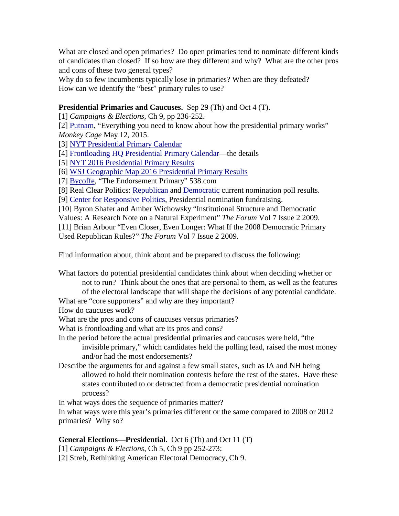What are closed and open primaries? Do open primaries tend to nominate different kinds of candidates than closed? If so how are they different and why? What are the other pros and cons of these two general types?

Why do so few incumbents typically lose in primaries? When are they defeated? How can we identify the "best" primary rules to use?

### **Presidential Primaries and Caucuses.** Sep 29 (Th) and Oct 4 (T).

[1] *Campaigns & Elections*, Ch 9, pp 236-252.

[2] [Putnam,](https://www.washingtonpost.com/blogs/monkey-cage/wp/2015/05/12/everything-you-need-to-know-about-how-the-presidential-primary-works/) "Everything you need to know about how the presidential primary works" *Monkey Cage* May 12, 2015.

[3] [NYT Presidential Primary Calendar](http://www.nytimes.com/interactive/2016/us/elections/primary-calendar-and-results.html?_r=0)

[4] [Frontloading HQ Presidential Primary Calendar—](http://frontloading.blogspot.com/p/2016-presidential-primary-calendar.html)the details

[5] [NYT 2016 Presidential Primary Results](http://www.nytimes.com/interactive/2016/us/elections/primary-calendar-and-results.html?_r=0)

[6] [WSJ Geographic Map 2016 Presidential Primary Results](http://graphics.wsj.com/elections/2016/all-primary-caucus-results-2016/)

[7] [Bycoffe,](http://projects.fivethirtyeight.com/2016-endorsement-primary/) "The Endorsement Primary" 538.com

[8] Real Clear Politics: [Republican](http://www.realclearpolitics.com/epolls/2016/president/us/2016_republican_presidential_nomination-3823.html) and [Democratic](http://projects.fivethirtyeight.com/2016-endorsement-primary/) current nomination poll results.

[9] [Center for Responsive Politics,](https://www.opensecrets.org/pres16/) Presidential nomination fundraising.

[10] Byron Shafer and Amber Wichowsky "Institutional Structure and Democratic

Values: A Research Note on a Natural Experiment" *The Forum* Vol 7 Issue 2 2009.

[11] Brian Arbour "Even Closer, Even Longer: What If the 2008 Democratic Primary Used Republican Rules?" *The Forum* Vol 7 Issue 2 2009.

Find information about, think about and be prepared to discuss the following:

What factors do potential presidential candidates think about when deciding whether or not to run? Think about the ones that are personal to them, as well as the features of the electoral landscape that will shape the decisions of any potential candidate.

What are "core supporters" and why are they important?

How do caucuses work?

What are the pros and cons of caucuses versus primaries?

What is frontloading and what are its pros and cons?

In the period before the actual presidential primaries and caucuses were held, "the invisible primary," which candidates held the polling lead, raised the most money and/or had the most endorsements?

Describe the arguments for and against a few small states, such as IA and NH being allowed to hold their nomination contests before the rest of the states. Have these states contributed to or detracted from a democratic presidential nomination process?

In what ways does the sequence of primaries matter?

In what ways were this year's primaries different or the same compared to 2008 or 2012 primaries? Why so?

### **General Elections—Presidential.** Oct 6 (Th) and Oct 11 (T)

[1] *Campaigns & Elections*, Ch 5, Ch 9 pp 252-273;

[2] Streb, Rethinking American Electoral Democracy, Ch 9.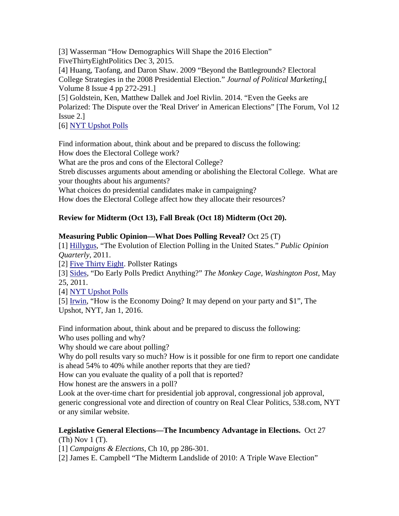[3] Wasserman "How Demographics Will Shape the 2016 Election" FiveThirtyEightPolitics Dec 3, 2015.

[4] Huang, Taofang, and Daron Shaw. 2009 "Beyond the Battlegrounds? Electoral College Strategies in the 2008 Presidential Election." *Journal of Political Marketing*,[ Volume 8 Issue 4 pp 272-291.]

[5] Goldstein, Ken, Matthew Dallek and Joel Rivlin. 2014. "Even the Geeks are Polarized: The Dispute over the 'Real Driver' in American Elections" [The Forum, Vol 12 Issue 2.]

[6] [NYT Upshot Polls](http://www.nytimes.com/interactive/2016/upshot/presidential-polls-forecast.html)

Find information about, think about and be prepared to discuss the following: How does the Electoral College work? What are the pros and cons of the Electoral College? Streb discusses arguments about amending or abolishing the Electoral College. What are your thoughts about his arguments? What choices do presidential candidates make in campaigning?

How does the Electoral College affect how they allocate their resources?

# **Review for Midterm (Oct 13), Fall Break (Oct 18) Midterm (Oct 20).**

# **Measuring Public Opinion—What Does Polling Reveal?** Oct 25 (T)

[1] [Hillygus,](http://hbanaszak.mjr.uw.edu.pl/TempTxt/Hillygus_2011_The%20Evolution%20of%20Election%20POlling%20in%20the%20United%20States.pdf) "The Evolution of Election Polling in the United States." *Public Opinion Quarterly*, 2011.

[2] [Five Thirty Eight.](http://fivethirtyeight.com/interactives/pollster-ratings/) Pollster Ratings

[3] [Sides,](http://themonkeycage.org/2011/05/25/do-early-polls-predict-anything/) "Do Early Polls Predict Anything?" *The Monkey Cage, Washington Post*, May 25, 2011.

[4] [NYT Upshot Polls](http://www.nytimes.com/interactive/2016/upshot/presidential-polls-forecast.html)

[5] [Irwin,](http://www.nytimes.com/2016/01/03/upshot/how-is-the-economy-doing-politics-may-decide-your-answer.html?rref=upshot) "How is the Economy Doing? It may depend on your party and \$1", The Upshot, NYT, Jan 1, 2016.

Find information about, think about and be prepared to discuss the following: Who uses polling and why?

Why should we care about polling?

Why do poll results vary so much? How is it possible for one firm to report one candidate is ahead 54% to 40% while another reports that they are tied?

How can you evaluate the quality of a poll that is reported?

How honest are the answers in a poll?

Look at the over-time chart for presidential job approval, congressional job approval, generic congressional vote and direction of country on Real Clear Politics, 538.com, NYT or any similar website.

# **Legislative General Elections—The Incumbency Advantage in Elections.** Oct 27

(Th) Nov 1 (T).

[1] *Campaigns & Elections*, Ch 10, pp 286-301.

[2] James E. Campbell "The Midterm Landslide of 2010: A Triple Wave Election"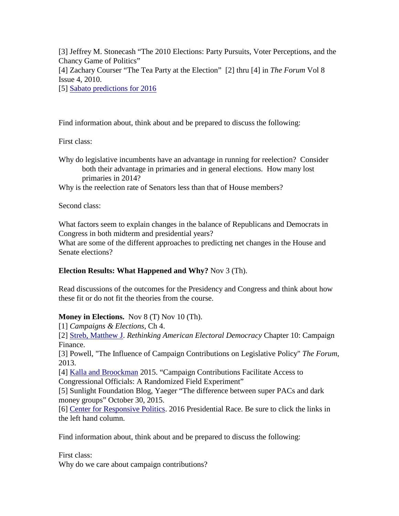[3] Jeffrey M. Stonecash "The 2010 Elections: Party Pursuits, Voter Perceptions, and the Chancy Game of Politics" [4] Zachary Courser "The Tea Party at the Election" [2] thru [4] in *The Forum* Vol 8 Issue 4, 2010. [5] [Sabato predictions for 2016](http://www.centerforpolitics.org/crystalball/)

Find information about, think about and be prepared to discuss the following:

First class:

Why do legislative incumbents have an advantage in running for reelection? Consider both their advantage in primaries and in general elections. How many lost primaries in 2014?

Why is the reelection rate of Senators less than that of House members?

Second class:

What factors seem to explain changes in the balance of Republicans and Democrats in Congress in both midterm and presidential years?

What are some of the different approaches to predicting net changes in the House and Senate elections?

### **Election Results: What Happened and Why?** Nov 3 (Th).

Read discussions of the outcomes for the Presidency and Congress and think about how these fit or do not fit the theories from the course.

### **Money in Elections.** Nov 8 (T) Nov 10 (Th).

[1] *Campaigns & Elections*, Ch 4.

[2] [Streb, Matthew J.](http://www.library.rochester.edu/ezproxy_voyager.php?voyredirect=http://site.ebrary.com/lib/rochester/detail.action?docID=11127464) *Rethinking American Electoral Democracy* Chapter 10: Campaign Finance.

[3] Powell, "The Influence of Campaign Contributions on Legislative Policy" *The Forum*, 2013.

[4] [Kalla and Broockman](https://learn.rochester.edu/bbcswebdav/courses/PSC215.2016FALL.80118/psc215powellfall16_readings/Kalla_Contributions.pdf) 2015. "Campaign Contributions Facilitate Access to Congressional Officials: A Randomized Field Experiment"

[5] Sunlight Foundation Blog, Yaeger "The difference between super PACs and dark money groups" October 30, 2015.

[6] [Center for Responsive Politics.](http://www.opensecrets.org/pres16/) 2016 Presidential Race. Be sure to click the links in the left hand column.

Find information about, think about and be prepared to discuss the following:

First class:

Why do we care about campaign contributions?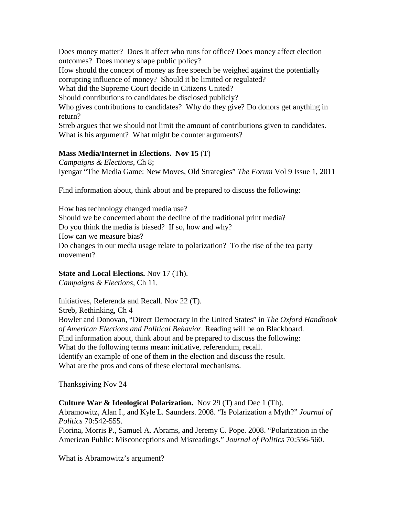Does money matter? Does it affect who runs for office? Does money affect election outcomes? Does money shape public policy?

How should the concept of money as free speech be weighed against the potentially corrupting influence of money? Should it be limited or regulated?

What did the Supreme Court decide in Citizens United?

Should contributions to candidates be disclosed publicly?

Who gives contributions to candidates? Why do they give? Do donors get anything in return?

Streb argues that we should not limit the amount of contributions given to candidates. What is his argument? What might be counter arguments?

### **Mass Media/Internet in Elections. Nov 15** (T)

*Campaigns & Elections*, Ch 8; Iyengar "The Media Game: New Moves, Old Strategies" *The Forum* Vol 9 Issue 1, 2011

Find information about, think about and be prepared to discuss the following:

How has technology changed media use? Should we be concerned about the decline of the traditional print media? Do you think the media is biased? If so, how and why? How can we measure bias? Do changes in our media usage relate to polarization? To the rise of the tea party movement?

### **State and Local Elections.** Nov 17 (Th).

*Campaigns & Elections*, Ch 11.

Initiatives, Referenda and Recall. Nov 22 (T).

Streb, Rethinking, Ch 4

Bowler and Donovan, "Direct Democracy in the United States" in *The Oxford Handbook of American Elections and Political Behavior.* Reading will be on Blackboard. Find information about, think about and be prepared to discuss the following: What do the following terms mean: initiative, referendum, recall. Identify an example of one of them in the election and discuss the result. What are the pros and cons of these electoral mechanisms.

Thanksgiving Nov 24

**Culture War & Ideological Polarization.** Nov 29 (T) and Dec 1 (Th).

Abramowitz, Alan I., and Kyle L. Saunders. 2008. "Is Polarization a Myth?" *Journal of Politics* 70:542-555.

Fiorina, Morris P., Samuel A. Abrams, and Jeremy C. Pope. 2008. "Polarization in the American Public: Misconceptions and Misreadings." *Journal of Politics* 70:556-560.

What is Abramowitz's argument?